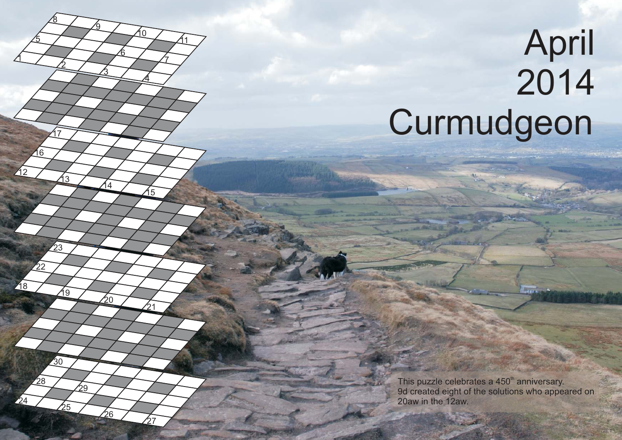## **April**  Curmudgeon

 $\overline{8}$ 

<u>17</u>

<u>8</u>

<u>ପ</u>

in

This puzzle celebrates a 450<sup>th</sup> anniversary. 9d created eight of the solutions who appeared on 20aw in the 12aw.

 $\overline{a}$